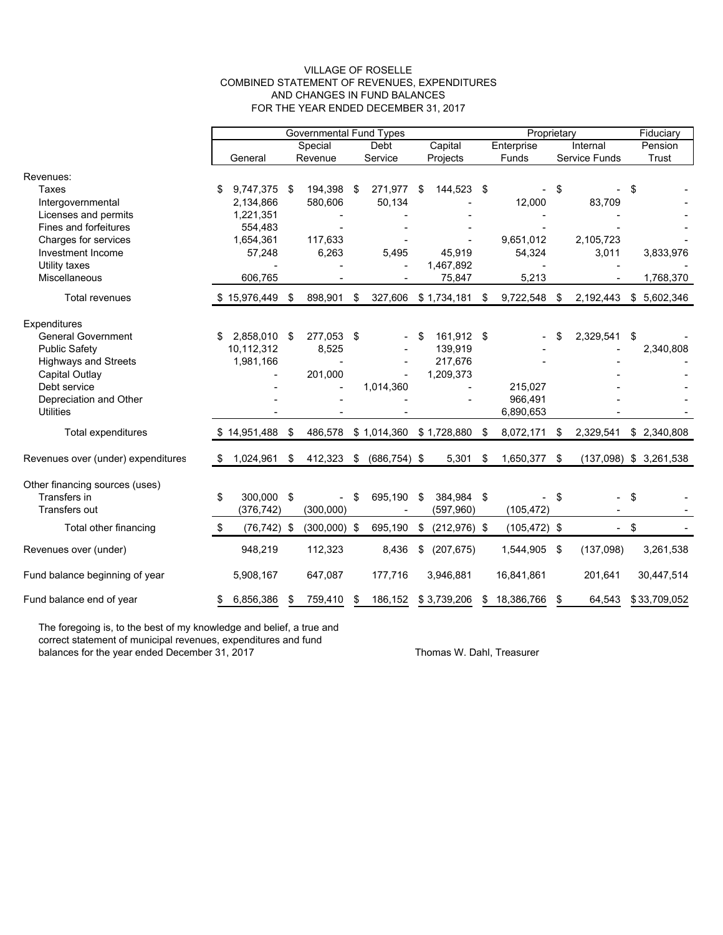#### VILLAGE OF ROSELLE COMBINED STATEMENT OF REVENUES, EXPENDITURES AND CHANGES IN FUND BALANCES FOR THE YEAR ENDED DECEMBER 31, 2017

|                                    | <b>Governmental Fund Types</b> |                |    |                |      |                 |    | Proprietary     |            |                 |          |               | Fiduciary |                          |
|------------------------------------|--------------------------------|----------------|----|----------------|------|-----------------|----|-----------------|------------|-----------------|----------|---------------|-----------|--------------------------|
|                                    | Special                        |                |    |                | Debt |                 |    | Capital         | Enterprise |                 | Internal |               | Pension   |                          |
|                                    |                                | General        |    | Revenue        |      | Service         |    | Projects        |            | Funds           |          | Service Funds |           | Trust                    |
| Revenues:<br><b>Taxes</b>          | \$                             | 9,747,375 \$   |    | 194,398        | \$   | 271,977         | \$ | 144,523 \$      |            |                 | \$       |               | \$        |                          |
| Intergovernmental                  |                                | 2,134,866      |    | 580,606        |      | 50,134          |    |                 |            | 12,000          |          | 83,709        |           |                          |
| Licenses and permits               |                                | 1,221,351      |    |                |      |                 |    |                 |            |                 |          |               |           |                          |
| Fines and forfeitures              |                                | 554,483        |    |                |      |                 |    |                 |            |                 |          |               |           |                          |
| Charges for services               |                                | 1,654,361      |    | 117,633        |      |                 |    |                 |            | 9,651,012       |          | 2,105,723     |           |                          |
| Investment Income                  |                                | 57,248         |    | 6,263          |      | 5,495           |    | 45.919          |            | 54,324          |          | 3,011         |           | 3,833,976                |
| Utility taxes                      |                                |                |    |                |      |                 |    | 1,467,892       |            |                 |          |               |           |                          |
| Miscellaneous                      |                                | 606,765        |    |                |      |                 |    | 75,847          |            | 5,213           |          |               |           | 1,768,370                |
| <b>Total revenues</b>              |                                | \$15,976,449   | \$ | 898,901        | \$   | 327,606         |    | \$1,734,181     | -\$        | 9,722,548       | \$       | 2,192,443     |           | \$5,602,346              |
| Expenditures                       |                                |                |    |                |      |                 |    |                 |            |                 |          |               |           |                          |
| <b>General Government</b>          | S                              | 2,858,010      | \$ | 277,053        | \$   |                 | \$ | 161,912 \$      |            |                 |          | 2,329,541     | \$        |                          |
| <b>Public Safety</b>               |                                | 10,112,312     |    | 8,525          |      |                 |    | 139,919         |            |                 |          |               |           | 2,340,808                |
| <b>Highways and Streets</b>        |                                | 1,981,166      |    | $\overline{a}$ |      |                 |    | 217,676         |            |                 |          |               |           |                          |
| <b>Capital Outlay</b>              |                                |                |    | 201,000        |      |                 |    | 1,209,373       |            |                 |          |               |           |                          |
| Debt service                       |                                |                |    |                |      | 1,014,360       |    |                 |            | 215,027         |          |               |           |                          |
| Depreciation and Other             |                                |                |    |                |      |                 |    |                 |            | 966,491         |          |               |           |                          |
| <b>Utilities</b>                   |                                |                |    |                |      |                 |    |                 |            | 6,890,653       |          |               |           |                          |
| Total expenditures                 |                                | \$14,951,488   | \$ | 486,578        |      | \$1,014,360     |    | \$1,728,880     | - \$       | 8,072,171       | -\$      | 2,329,541     |           | \$2,340,808              |
| Revenues over (under) expenditures | S                              | 1,024,961      | \$ | 412,323        | \$   | $(686, 754)$ \$ |    | 5,301           | \$         | 1,650,377 \$    |          |               |           | $(137,098)$ \$ 3,261,538 |
| Other financing sources (uses)     |                                |                |    |                |      |                 |    |                 |            |                 |          |               |           |                          |
| Transfers in                       | \$                             | 300,000 \$     |    |                | \$   | 695,190         | \$ | 384,984 \$      |            |                 | \$       |               | \$        |                          |
| Transfers out                      |                                | (376, 742)     |    | (300,000)      |      |                 |    | (597, 960)      |            | (105, 472)      |          |               |           |                          |
| Total other financing              | \$                             | $(76, 742)$ \$ |    | (300,000)      | -\$  | 695,190         | \$ | $(212, 976)$ \$ |            | $(105, 472)$ \$ |          |               | $-$ \$    |                          |
| Revenues over (under)              |                                | 948,219        |    | 112,323        |      | 8,436           | \$ | (207, 675)      |            | 1,544,905 \$    |          | (137,098)     |           | 3,261,538                |
| Fund balance beginning of year     |                                | 5,908,167      |    | 647,087        |      | 177,716         |    | 3,946,881       |            | 16,841,861      |          | 201,641       |           | 30,447,514               |
| Fund balance end of year           | \$                             | 6,856,386      | \$ | 759,410        | \$   | 186,152         |    | \$3,739,206     | \$         | 18,386,766      | \$       | 64,543        |           | \$33,709,052             |

The foregoing is, to the best of my knowledge and belief, a true and correct statement of municipal revenues, expenditures and fund balances for the year ended December 31, 2017 Thomas W. Dahl, Treasurer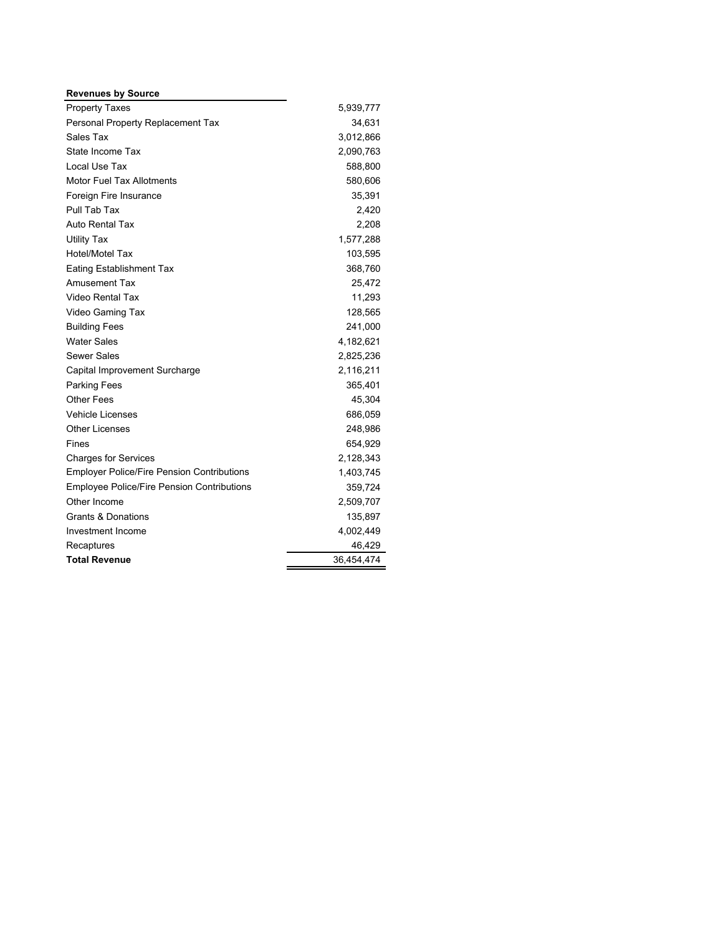| <b>Revenues by Source</b>                         |            |
|---------------------------------------------------|------------|
| <b>Property Taxes</b>                             | 5,939,777  |
| Personal Property Replacement Tax                 | 34,631     |
| Sales Tax                                         | 3,012,866  |
| State Income Tax                                  | 2,090,763  |
| Local Use Tax                                     | 588,800    |
| Motor Fuel Tax Allotments                         | 580,606    |
| Foreign Fire Insurance                            | 35,391     |
| Pull Tab Tax                                      | 2,420      |
| Auto Rental Tax                                   | 2,208      |
| <b>Utility Tax</b>                                | 1,577,288  |
| <b>Hotel/Motel Tax</b>                            | 103,595    |
| <b>Eating Establishment Tax</b>                   | 368,760    |
| Amusement Tax                                     | 25,472     |
| <b>Video Rental Tax</b>                           | 11,293     |
| Video Gaming Tax                                  | 128,565    |
| <b>Building Fees</b>                              | 241,000    |
| <b>Water Sales</b>                                | 4,182,621  |
| Sewer Sales                                       | 2,825,236  |
| Capital Improvement Surcharge                     | 2,116,211  |
| <b>Parking Fees</b>                               | 365,401    |
| Other Fees                                        | 45,304     |
| <b>Vehicle Licenses</b>                           | 686,059    |
| <b>Other Licenses</b>                             | 248,986    |
| Fines                                             | 654,929    |
| <b>Charges for Services</b>                       | 2,128,343  |
| <b>Employer Police/Fire Pension Contributions</b> | 1,403,745  |
| <b>Employee Police/Fire Pension Contributions</b> | 359,724    |
| Other Income                                      | 2,509,707  |
| <b>Grants &amp; Donations</b>                     | 135,897    |
| <b>Investment Income</b>                          | 4,002,449  |
| Recaptures                                        | 46,429     |
| <b>Total Revenue</b>                              | 36,454,474 |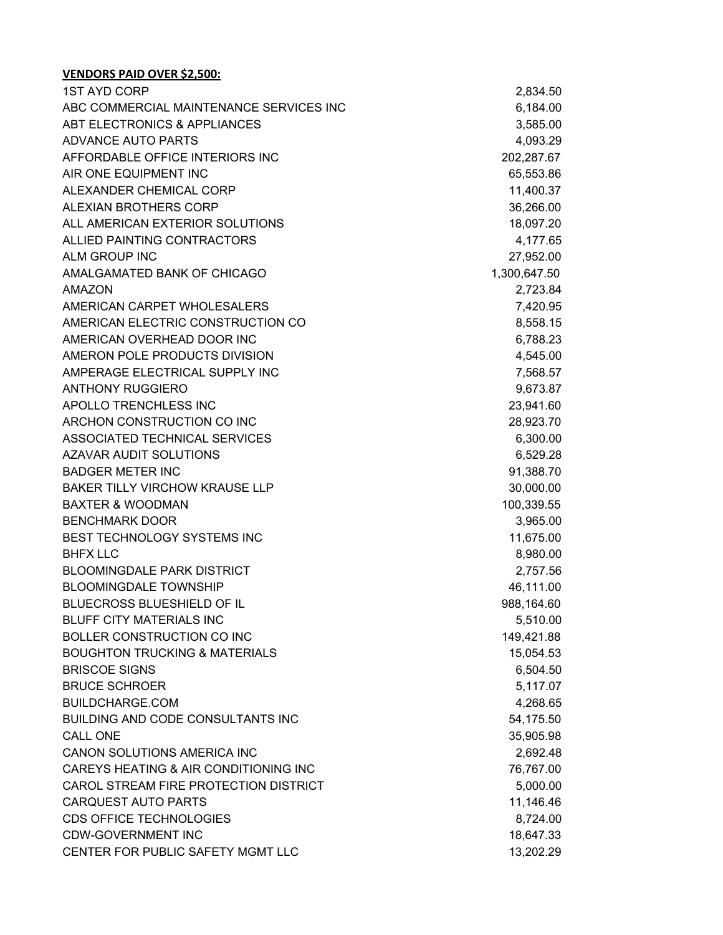| <b>1ST AYD CORP</b>                      | 2,834.50     |
|------------------------------------------|--------------|
| ABC COMMERCIAL MAINTENANCE SERVICES INC  | 6,184.00     |
| ABT ELECTRONICS & APPLIANCES             | 3,585.00     |
| ADVANCE AUTO PARTS                       | 4,093.29     |
| AFFORDABLE OFFICE INTERIORS INC          | 202,287.67   |
| AIR ONE EQUIPMENT INC                    | 65,553.86    |
| ALEXANDER CHEMICAL CORP                  | 11,400.37    |
| ALEXIAN BROTHERS CORP                    | 36,266.00    |
| ALL AMERICAN EXTERIOR SOLUTIONS          | 18,097.20    |
| ALLIED PAINTING CONTRACTORS              | 4,177.65     |
| ALM GROUP INC                            | 27,952.00    |
| AMALGAMATED BANK OF CHICAGO              | 1,300,647.50 |
| <b>AMAZON</b>                            | 2,723.84     |
| AMERICAN CARPET WHOLESALERS              | 7,420.95     |
| AMERICAN ELECTRIC CONSTRUCTION CO        | 8,558.15     |
| AMERICAN OVERHEAD DOOR INC               | 6,788.23     |
| AMERON POLE PRODUCTS DIVISION            | 4,545.00     |
| AMPERAGE ELECTRICAL SUPPLY INC           | 7,568.57     |
| <b>ANTHONY RUGGIERO</b>                  | 9,673.87     |
| APOLLO TRENCHLESS INC                    | 23,941.60    |
| ARCHON CONSTRUCTION CO INC               | 28,923.70    |
| ASSOCIATED TECHNICAL SERVICES            | 6,300.00     |
| <b>AZAVAR AUDIT SOLUTIONS</b>            | 6,529.28     |
| <b>BADGER METER INC</b>                  | 91,388.70    |
| <b>BAKER TILLY VIRCHOW KRAUSE LLP</b>    | 30,000.00    |
| <b>BAXTER &amp; WOODMAN</b>              | 100,339.55   |
| <b>BENCHMARK DOOR</b>                    | 3,965.00     |
| BEST TECHNOLOGY SYSTEMS INC              | 11,675.00    |
| <b>BHFX LLC</b>                          | 8,980.00     |
| <b>BLOOMINGDALE PARK DISTRICT</b>        | 2,757.56     |
| <b>BLOOMINGDALE TOWNSHIP</b>             | 46,111.00    |
| BLUECROSS BLUESHIELD OF IL               | 988,164.60   |
| <b>BLUFF CITY MATERIALS INC</b>          | 5,510.00     |
| <b>BOLLER CONSTRUCTION CO INC</b>        | 149,421.88   |
| <b>BOUGHTON TRUCKING &amp; MATERIALS</b> | 15,054.53    |
| <b>BRISCOE SIGNS</b>                     | 6,504.50     |
| <b>BRUCE SCHROER</b>                     | 5,117.07     |
| <b>BUILDCHARGE.COM</b>                   | 4,268.65     |
| BUILDING AND CODE CONSULTANTS INC        | 54,175.50    |
| <b>CALL ONE</b>                          | 35,905.98    |
| CANON SOLUTIONS AMERICA INC              | 2,692.48     |
| CAREYS HEATING & AIR CONDITIONING INC    | 76,767.00    |
| CAROL STREAM FIRE PROTECTION DISTRICT    | 5,000.00     |
| <b>CARQUEST AUTO PARTS</b>               | 11,146.46    |
| <b>CDS OFFICE TECHNOLOGIES</b>           | 8,724.00     |
| <b>CDW-GOVERNMENT INC</b>                | 18,647.33    |
| CENTER FOR PUBLIC SAFETY MGMT LLC        | 13,202.29    |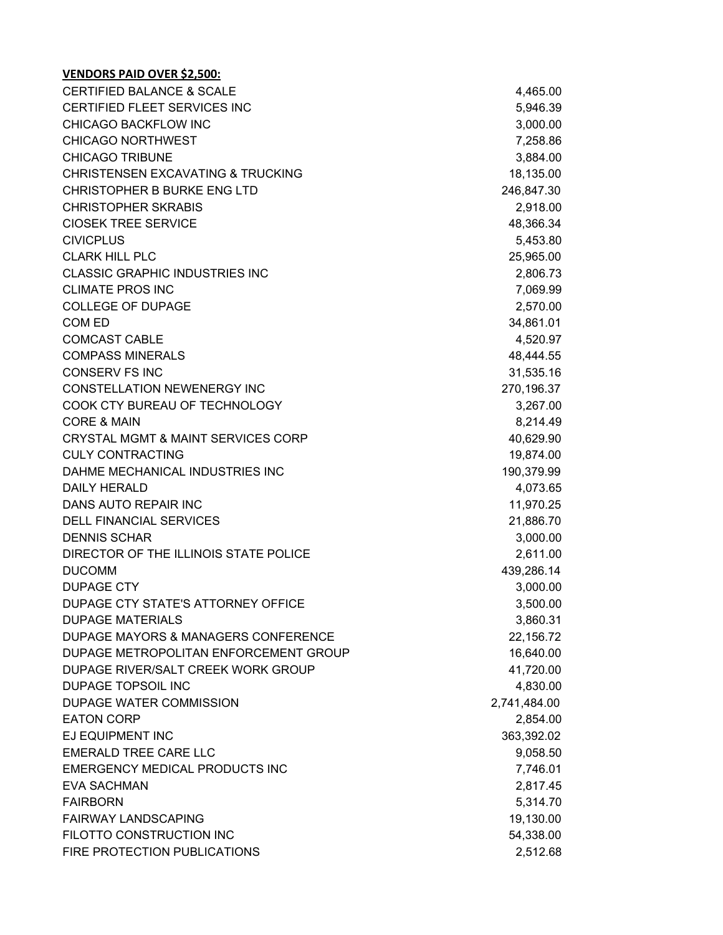| <b>CERTIFIED BALANCE &amp; SCALE</b>          | 4,465.00     |
|-----------------------------------------------|--------------|
| CERTIFIED FLEET SERVICES INC                  | 5,946.39     |
| <b>CHICAGO BACKFLOW INC</b>                   | 3,000.00     |
| <b>CHICAGO NORTHWEST</b>                      | 7,258.86     |
| <b>CHICAGO TRIBUNE</b>                        | 3,884.00     |
| <b>CHRISTENSEN EXCAVATING &amp; TRUCKING</b>  | 18,135.00    |
| CHRISTOPHER B BURKE ENG LTD                   | 246,847.30   |
| <b>CHRISTOPHER SKRABIS</b>                    | 2,918.00     |
| <b>CIOSEK TREE SERVICE</b>                    | 48,366.34    |
| <b>CIVICPLUS</b>                              | 5,453.80     |
| <b>CLARK HILL PLC</b>                         | 25,965.00    |
| <b>CLASSIC GRAPHIC INDUSTRIES INC</b>         | 2,806.73     |
| <b>CLIMATE PROS INC</b>                       | 7,069.99     |
| <b>COLLEGE OF DUPAGE</b>                      | 2,570.00     |
| COM ED                                        | 34,861.01    |
| <b>COMCAST CABLE</b>                          | 4,520.97     |
| <b>COMPASS MINERALS</b>                       | 48,444.55    |
| <b>CONSERV FS INC</b>                         | 31,535.16    |
| CONSTELLATION NEWENERGY INC                   | 270,196.37   |
| COOK CTY BUREAU OF TECHNOLOGY                 | 3,267.00     |
| <b>CORE &amp; MAIN</b>                        | 8,214.49     |
| <b>CRYSTAL MGMT &amp; MAINT SERVICES CORP</b> | 40,629.90    |
| <b>CULY CONTRACTING</b>                       | 19,874.00    |
| DAHME MECHANICAL INDUSTRIES INC               | 190,379.99   |
| <b>DAILY HERALD</b>                           | 4,073.65     |
| DANS AUTO REPAIR INC                          | 11,970.25    |
| <b>DELL FINANCIAL SERVICES</b>                | 21,886.70    |
| <b>DENNIS SCHAR</b>                           | 3,000.00     |
| DIRECTOR OF THE ILLINOIS STATE POLICE         | 2,611.00     |
| <b>DUCOMM</b>                                 | 439,286.14   |
| <b>DUPAGE CTY</b>                             | 3,000.00     |
| DUPAGE CTY STATE'S ATTORNEY OFFICE            | 3,500.00     |
| <b>DUPAGE MATERIALS</b>                       | 3,860.31     |
| DUPAGE MAYORS & MANAGERS CONFERENCE           | 22,156.72    |
| DUPAGE METROPOLITAN ENFORCEMENT GROUP         | 16,640.00    |
| DUPAGE RIVER/SALT CREEK WORK GROUP            | 41,720.00    |
| DUPAGE TOPSOIL INC                            | 4,830.00     |
| DUPAGE WATER COMMISSION                       | 2,741,484.00 |
| <b>EATON CORP</b>                             | 2,854.00     |
| EJ EQUIPMENT INC                              | 363,392.02   |
| <b>EMERALD TREE CARE LLC</b>                  | 9,058.50     |
| <b>EMERGENCY MEDICAL PRODUCTS INC</b>         | 7,746.01     |
| <b>EVA SACHMAN</b>                            | 2,817.45     |
| <b>FAIRBORN</b>                               | 5,314.70     |
| <b>FAIRWAY LANDSCAPING</b>                    | 19,130.00    |
| FILOTTO CONSTRUCTION INC                      | 54,338.00    |
| FIRE PROTECTION PUBLICATIONS                  | 2,512.68     |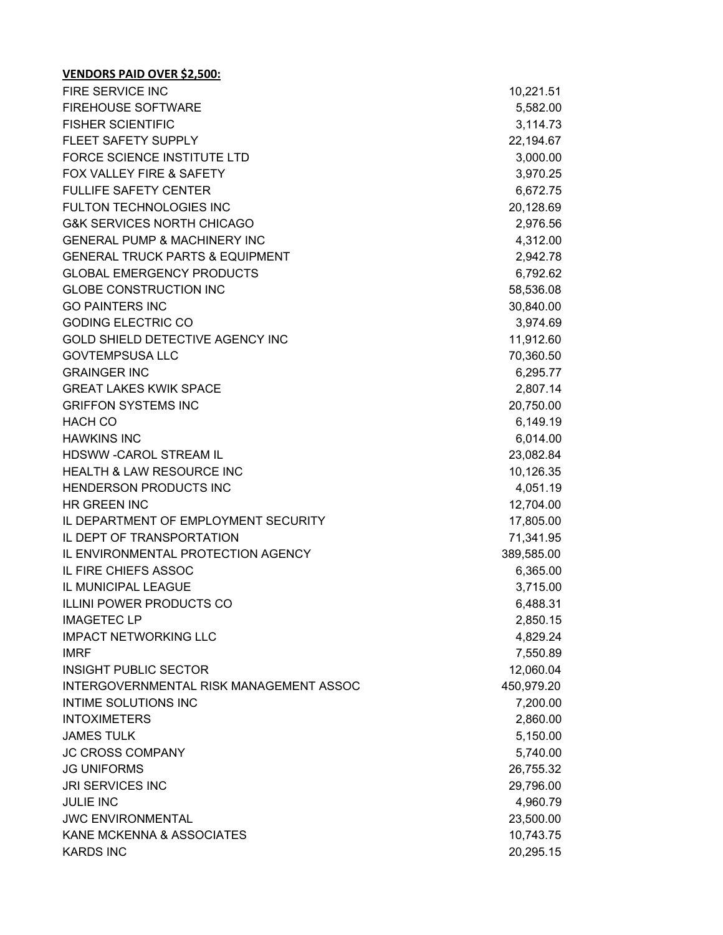| <b>VENDORS PAID OVER \$2,500:</b>          |            |
|--------------------------------------------|------------|
| FIRE SERVICE INC                           | 10,221.51  |
| <b>FIREHOUSE SOFTWARE</b>                  | 5,582.00   |
| <b>FISHER SCIENTIFIC</b>                   | 3,114.73   |
| FLEET SAFETY SUPPLY                        | 22,194.67  |
| FORCE SCIENCE INSTITUTE LTD                | 3,000.00   |
| <b>FOX VALLEY FIRE &amp; SAFETY</b>        | 3,970.25   |
| <b>FULLIFE SAFETY CENTER</b>               | 6,672.75   |
| <b>FULTON TECHNOLOGIES INC</b>             | 20,128.69  |
| <b>G&amp;K SERVICES NORTH CHICAGO</b>      | 2,976.56   |
| <b>GENERAL PUMP &amp; MACHINERY INC</b>    | 4,312.00   |
| <b>GENERAL TRUCK PARTS &amp; EQUIPMENT</b> | 2,942.78   |
| <b>GLOBAL EMERGENCY PRODUCTS</b>           | 6,792.62   |
| <b>GLOBE CONSTRUCTION INC</b>              | 58,536.08  |
| <b>GO PAINTERS INC</b>                     | 30,840.00  |
| <b>GODING ELECTRIC CO</b>                  | 3,974.69   |
| GOLD SHIELD DETECTIVE AGENCY INC           | 11,912.60  |
| <b>GOVTEMPSUSA LLC</b>                     | 70,360.50  |
| <b>GRAINGER INC</b>                        | 6,295.77   |
| <b>GREAT LAKES KWIK SPACE</b>              | 2,807.14   |
| <b>GRIFFON SYSTEMS INC</b>                 | 20,750.00  |
| <b>HACH CO</b>                             | 6,149.19   |
| <b>HAWKINS INC</b>                         | 6,014.00   |
| HDSWW -CAROL STREAM IL                     | 23,082.84  |
| <b>HEALTH &amp; LAW RESOURCE INC</b>       | 10,126.35  |
| HENDERSON PRODUCTS INC                     | 4,051.19   |
| <b>HR GREEN INC</b>                        | 12,704.00  |
| IL DEPARTMENT OF EMPLOYMENT SECURITY       | 17,805.00  |
| IL DEPT OF TRANSPORTATION                  | 71,341.95  |
| IL ENVIRONMENTAL PROTECTION AGENCY         | 389,585.00 |
| IL FIRE CHIEFS ASSOC                       | 6,365.00   |
| IL MUNICIPAL LEAGUE                        | 3,715.00   |
| <b>ILLINI POWER PRODUCTS CO</b>            | 6,488.31   |
| <b>IMAGETEC LP</b>                         | 2,850.15   |
| <b>IMPACT NETWORKING LLC</b>               | 4,829.24   |
| <b>IMRF</b>                                | 7,550.89   |
| <b>INSIGHT PUBLIC SECTOR</b>               | 12,060.04  |
| INTERGOVERNMENTAL RISK MANAGEMENT ASSOC    | 450,979.20 |
| INTIME SOLUTIONS INC                       | 7,200.00   |
| <b>INTOXIMETERS</b>                        | 2,860.00   |
| <b>JAMES TULK</b>                          | 5,150.00   |
| <b>JC CROSS COMPANY</b>                    | 5,740.00   |
| <b>JG UNIFORMS</b>                         | 26,755.32  |
| <b>JRI SERVICES INC</b>                    | 29,796.00  |
| <b>JULIE INC</b>                           | 4,960.79   |
| <b>JWC ENVIRONMENTAL</b>                   | 23,500.00  |
| KANE MCKENNA & ASSOCIATES                  | 10,743.75  |
| <b>KARDS INC</b>                           | 20,295.15  |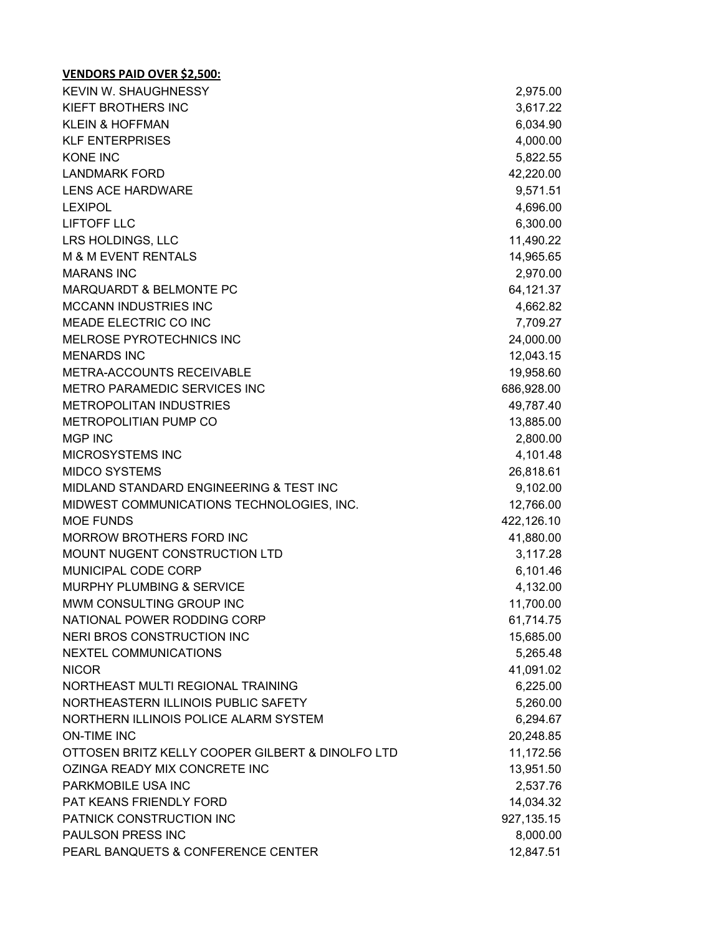| <b>KEVIN W. SHAUGHNESSY</b>                      | 2,975.00   |
|--------------------------------------------------|------------|
| KIEFT BROTHERS INC                               | 3,617.22   |
| <b>KLEIN &amp; HOFFMAN</b>                       | 6,034.90   |
| <b>KLF ENTERPRISES</b>                           | 4,000.00   |
| <b>KONE INC</b>                                  | 5,822.55   |
| <b>LANDMARK FORD</b>                             | 42,220.00  |
| <b>LENS ACE HARDWARE</b>                         | 9,571.51   |
| <b>LEXIPOL</b>                                   | 4,696.00   |
| <b>LIFTOFF LLC</b>                               | 6,300.00   |
| LRS HOLDINGS, LLC                                | 11,490.22  |
| M & M EVENT RENTALS                              | 14,965.65  |
| <b>MARANS INC</b>                                | 2,970.00   |
| MARQUARDT & BELMONTE PC                          | 64,121.37  |
| <b>MCCANN INDUSTRIES INC</b>                     | 4,662.82   |
| MEADE ELECTRIC CO INC                            | 7,709.27   |
| MELROSE PYROTECHNICS INC                         | 24,000.00  |
| <b>MENARDS INC</b>                               | 12,043.15  |
| METRA-ACCOUNTS RECEIVABLE                        | 19,958.60  |
| METRO PARAMEDIC SERVICES INC                     | 686,928.00 |
| <b>METROPOLITAN INDUSTRIES</b>                   | 49,787.40  |
| METROPOLITIAN PUMP CO                            | 13,885.00  |
| <b>MGP INC</b>                                   | 2,800.00   |
| MICROSYSTEMS INC                                 | 4,101.48   |
| <b>MIDCO SYSTEMS</b>                             | 26,818.61  |
| MIDLAND STANDARD ENGINEERING & TEST INC          | 9,102.00   |
| MIDWEST COMMUNICATIONS TECHNOLOGIES, INC.        | 12,766.00  |
| <b>MOE FUNDS</b>                                 | 422,126.10 |
| MORROW BROTHERS FORD INC                         | 41,880.00  |
| MOUNT NUGENT CONSTRUCTION LTD                    | 3,117.28   |
| MUNICIPAL CODE CORP                              | 6,101.46   |
| <b>MURPHY PLUMBING &amp; SERVICE</b>             | 4,132.00   |
| MWM CONSULTING GROUP INC                         | 11,700.00  |
| NATIONAL POWER RODDING CORP                      | 61,714.75  |
| NERI BROS CONSTRUCTION INC                       | 15,685.00  |
| NEXTEL COMMUNICATIONS                            | 5,265.48   |
| <b>NICOR</b>                                     | 41,091.02  |
| NORTHEAST MULTI REGIONAL TRAINING                | 6,225.00   |
| NORTHEASTERN ILLINOIS PUBLIC SAFETY              | 5,260.00   |
| NORTHERN ILLINOIS POLICE ALARM SYSTEM            | 6,294.67   |
| <b>ON-TIME INC</b>                               | 20,248.85  |
| OTTOSEN BRITZ KELLY COOPER GILBERT & DINOLFO LTD | 11,172.56  |
| OZINGA READY MIX CONCRETE INC                    | 13,951.50  |
| PARKMOBILE USA INC                               | 2,537.76   |
| PAT KEANS FRIENDLY FORD                          | 14,034.32  |
| PATNICK CONSTRUCTION INC                         | 927,135.15 |
| PAULSON PRESS INC                                | 8,000.00   |
| PEARL BANQUETS & CONFERENCE CENTER               | 12,847.51  |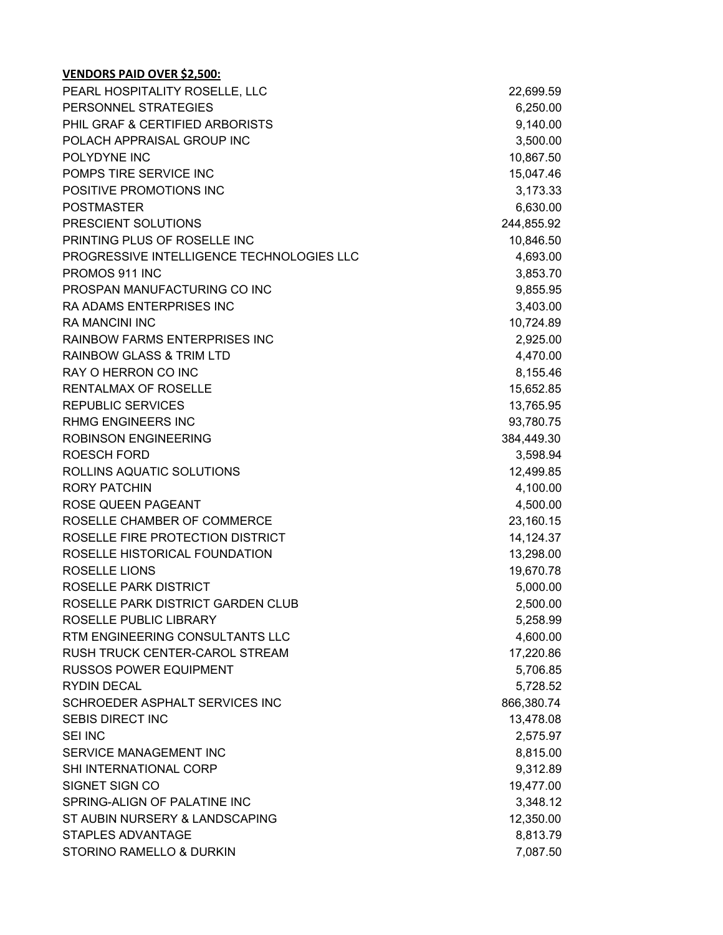| PEARL HOSPITALITY ROSELLE, LLC            | 22,699.59  |
|-------------------------------------------|------------|
| PERSONNEL STRATEGIES                      | 6,250.00   |
| PHIL GRAF & CERTIFIED ARBORISTS           | 9,140.00   |
| POLACH APPRAISAL GROUP INC                | 3,500.00   |
| POLYDYNE INC                              | 10,867.50  |
| POMPS TIRE SERVICE INC                    | 15,047.46  |
| POSITIVE PROMOTIONS INC                   | 3,173.33   |
| <b>POSTMASTER</b>                         | 6,630.00   |
| PRESCIENT SOLUTIONS                       | 244,855.92 |
| PRINTING PLUS OF ROSELLE INC              | 10,846.50  |
| PROGRESSIVE INTELLIGENCE TECHNOLOGIES LLC | 4,693.00   |
| PROMOS 911 INC                            | 3,853.70   |
| PROSPAN MANUFACTURING CO INC              | 9,855.95   |
| RA ADAMS ENTERPRISES INC                  | 3,403.00   |
| <b>RA MANCINI INC</b>                     | 10,724.89  |
| <b>RAINBOW FARMS ENTERPRISES INC</b>      | 2,925.00   |
| <b>RAINBOW GLASS &amp; TRIM LTD</b>       | 4,470.00   |
| RAY O HERRON CO INC                       | 8,155.46   |
| RENTALMAX OF ROSELLE                      | 15,652.85  |
| <b>REPUBLIC SERVICES</b>                  | 13,765.95  |
| <b>RHMG ENGINEERS INC</b>                 | 93,780.75  |
| <b>ROBINSON ENGINEERING</b>               | 384,449.30 |
| <b>ROESCH FORD</b>                        | 3,598.94   |
| ROLLINS AQUATIC SOLUTIONS                 | 12,499.85  |
| <b>RORY PATCHIN</b>                       | 4,100.00   |
| ROSE QUEEN PAGEANT                        | 4,500.00   |
| ROSELLE CHAMBER OF COMMERCE               | 23,160.15  |
| ROSELLE FIRE PROTECTION DISTRICT          | 14,124.37  |
| ROSELLE HISTORICAL FOUNDATION             | 13,298.00  |
| <b>ROSELLE LIONS</b>                      | 19,670.78  |
| ROSELLE PARK DISTRICT                     | 5,000.00   |
| ROSELLE PARK DISTRICT GARDEN CLUB         | 2,500.00   |
| ROSELLE PUBLIC LIBRARY                    | 5,258.99   |
| RTM ENGINEERING CONSULTANTS LLC           | 4,600.00   |
| RUSH TRUCK CENTER-CAROL STREAM            | 17,220.86  |
| <b>RUSSOS POWER EQUIPMENT</b>             | 5,706.85   |
| <b>RYDIN DECAL</b>                        | 5,728.52   |
| SCHROEDER ASPHALT SERVICES INC            | 866,380.74 |
| <b>SEBIS DIRECT INC</b>                   | 13,478.08  |
| <b>SEI INC</b>                            | 2,575.97   |
| SERVICE MANAGEMENT INC                    | 8,815.00   |
| SHI INTERNATIONAL CORP                    | 9,312.89   |
| SIGNET SIGN CO                            | 19,477.00  |
| SPRING-ALIGN OF PALATINE INC              | 3,348.12   |
| ST AUBIN NURSERY & LANDSCAPING            | 12,350.00  |
| <b>STAPLES ADVANTAGE</b>                  | 8,813.79   |
| STORINO RAMELLO & DURKIN                  | 7,087.50   |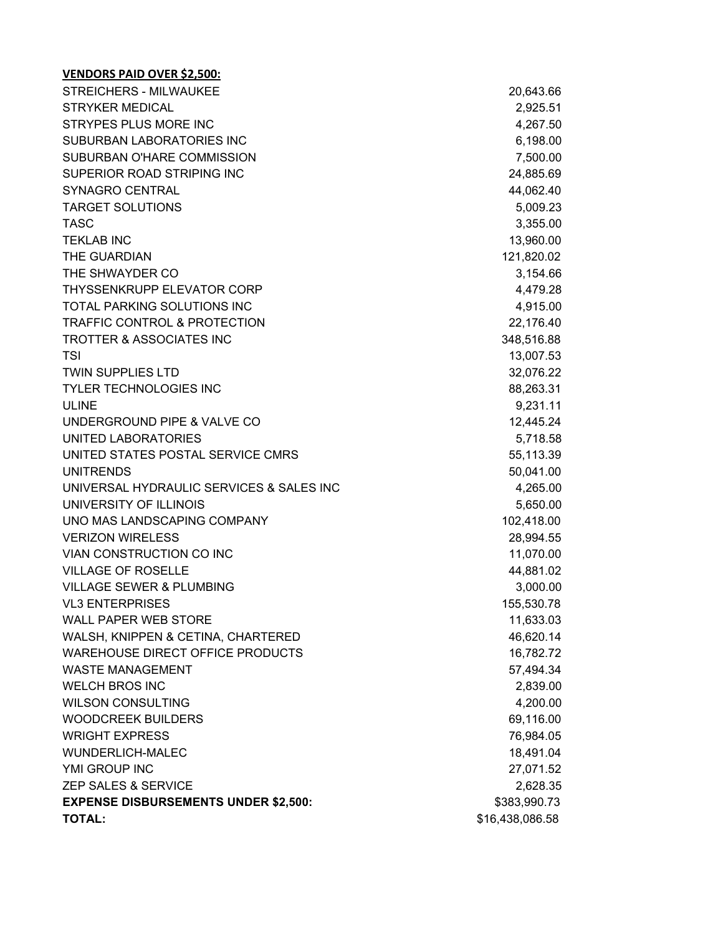| <b>STREICHERS - MILWAUKEE</b>               | 20,643.66       |
|---------------------------------------------|-----------------|
| <b>STRYKER MEDICAL</b>                      | 2,925.51        |
| <b>STRYPES PLUS MORE INC</b>                | 4,267.50        |
| SUBURBAN LABORATORIES INC                   | 6,198.00        |
| SUBURBAN O'HARE COMMISSION                  | 7,500.00        |
| SUPERIOR ROAD STRIPING INC                  | 24,885.69       |
| SYNAGRO CENTRAL                             | 44,062.40       |
| <b>TARGET SOLUTIONS</b>                     | 5,009.23        |
| <b>TASC</b>                                 | 3,355.00        |
| <b>TEKLAB INC</b>                           | 13,960.00       |
| THE GUARDIAN                                | 121,820.02      |
| THE SHWAYDER CO                             | 3,154.66        |
| THYSSENKRUPP ELEVATOR CORP                  | 4,479.28        |
| TOTAL PARKING SOLUTIONS INC                 | 4,915.00        |
| <b>TRAFFIC CONTROL &amp; PROTECTION</b>     | 22,176.40       |
| <b>TROTTER &amp; ASSOCIATES INC</b>         | 348,516.88      |
| <b>TSI</b>                                  | 13,007.53       |
| <b>TWIN SUPPLIES LTD</b>                    | 32,076.22       |
| <b>TYLER TECHNOLOGIES INC</b>               | 88,263.31       |
| <b>ULINE</b>                                | 9,231.11        |
| UNDERGROUND PIPE & VALVE CO                 | 12,445.24       |
| UNITED LABORATORIES                         | 5,718.58        |
| UNITED STATES POSTAL SERVICE CMRS           | 55,113.39       |
| <b>UNITRENDS</b>                            | 50,041.00       |
| UNIVERSAL HYDRAULIC SERVICES & SALES INC    | 4,265.00        |
| UNIVERSITY OF ILLINOIS                      | 5,650.00        |
| UNO MAS LANDSCAPING COMPANY                 | 102,418.00      |
| <b>VERIZON WIRELESS</b>                     | 28,994.55       |
| VIAN CONSTRUCTION CO INC                    | 11,070.00       |
| <b>VILLAGE OF ROSELLE</b>                   | 44,881.02       |
| <b>VILLAGE SEWER &amp; PLUMBING</b>         | 3,000.00        |
| <b>VL3 ENTERPRISES</b>                      | 155,530.78      |
| <b>WALL PAPER WEB STORE</b>                 | 11,633.03       |
| WALSH, KNIPPEN & CETINA, CHARTERED          | 46,620.14       |
| WAREHOUSE DIRECT OFFICE PRODUCTS            | 16,782.72       |
| <b>WASTE MANAGEMENT</b>                     | 57,494.34       |
| <b>WELCH BROS INC</b>                       | 2,839.00        |
| <b>WILSON CONSULTING</b>                    | 4,200.00        |
| <b>WOODCREEK BUILDERS</b>                   | 69,116.00       |
| <b>WRIGHT EXPRESS</b>                       | 76,984.05       |
| <b>WUNDERLICH-MALEC</b>                     | 18,491.04       |
| YMI GROUP INC                               | 27,071.52       |
| ZEP SALES & SERVICE                         | 2,628.35        |
| <b>EXPENSE DISBURSEMENTS UNDER \$2,500:</b> | \$383,990.73    |
| <b>TOTAL:</b>                               | \$16,438,086.58 |